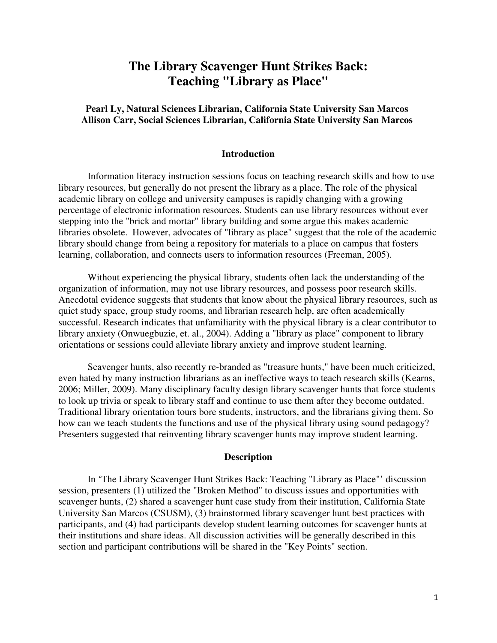# **The Library Scavenger Hunt Strikes Back: Teaching "Library as Place"**

# **Pearl Ly, Natural Sciences Librarian, California State University San Marcos Allison Carr, Social Sciences Librarian, California State University San Marcos**

### **Introduction**

Information literacy instruction sessions focus on teaching research skills and how to use library resources, but generally do not present the library as a place. The role of the physical academic library on college and university campuses is rapidly changing with a growing percentage of electronic information resources. Students can use library resources without ever stepping into the "brick and mortar" library building and some argue this makes academic libraries obsolete. However, advocates of "library as place" suggest that the role of the academic library should change from being a repository for materials to a place on campus that fosters learning, collaboration, and connects users to information resources (Freeman, 2005).

Without experiencing the physical library, students often lack the understanding of the organization of information, may not use library resources, and possess poor research skills. Anecdotal evidence suggests that students that know about the physical library resources, such as quiet study space, group study rooms, and librarian research help, are often academically successful. Research indicates that unfamiliarity with the physical library is a clear contributor to library anxiety (Onwuegbuzie, et. al., 2004). Adding a "library as place" component to library orientations or sessions could alleviate library anxiety and improve student learning.

Scavenger hunts, also recently re-branded as "treasure hunts," have been much criticized, even hated by many instruction librarians as an ineffective ways to teach research skills (Kearns, 2006; Miller, 2009). Many disciplinary faculty design library scavenger hunts that force students to look up trivia or speak to library staff and continue to use them after they become outdated. Traditional library orientation tours bore students, instructors, and the librarians giving them. So how can we teach students the functions and use of the physical library using sound pedagogy? Presenters suggested that reinventing library scavenger hunts may improve student learning.

### **Description**

In 'The Library Scavenger Hunt Strikes Back: Teaching "Library as Place"' discussion session, presenters (1) utilized the "Broken Method" to discuss issues and opportunities with scavenger hunts, (2) shared a scavenger hunt case study from their institution, California State University San Marcos (CSUSM), (3) brainstormed library scavenger hunt best practices with participants, and (4) had participants develop student learning outcomes for scavenger hunts at their institutions and share ideas. All discussion activities will be generally described in this section and participant contributions will be shared in the "Key Points" section.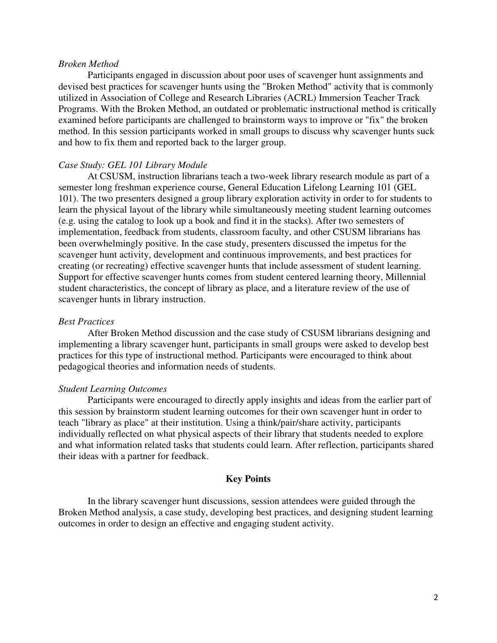#### *Broken Method*

Participants engaged in discussion about poor uses of scavenger hunt assignments and devised best practices for scavenger hunts using the "Broken Method" activity that is commonly utilized in Association of College and Research Libraries (ACRL) Immersion Teacher Track Programs. With the Broken Method, an outdated or problematic instructional method is critically examined before participants are challenged to brainstorm ways to improve or "fix" the broken method. In this session participants worked in small groups to discuss why scavenger hunts suck and how to fix them and reported back to the larger group.

### *Case Study: GEL 101 Library Module*

At CSUSM, instruction librarians teach a two-week library research module as part of a semester long freshman experience course, General Education Lifelong Learning 101 (GEL 101). The two presenters designed a group library exploration activity in order to for students to learn the physical layout of the library while simultaneously meeting student learning outcomes (e.g. using the catalog to look up a book and find it in the stacks). After two semesters of implementation, feedback from students, classroom faculty, and other CSUSM librarians has been overwhelmingly positive. In the case study, presenters discussed the impetus for the scavenger hunt activity, development and continuous improvements, and best practices for creating (or recreating) effective scavenger hunts that include assessment of student learning. Support for effective scavenger hunts comes from student centered learning theory, Millennial student characteristics, the concept of library as place, and a literature review of the use of scavenger hunts in library instruction.

### *Best Practices*

After Broken Method discussion and the case study of CSUSM librarians designing and implementing a library scavenger hunt, participants in small groups were asked to develop best practices for this type of instructional method. Participants were encouraged to think about pedagogical theories and information needs of students.

### *Student Learning Outcomes*

Participants were encouraged to directly apply insights and ideas from the earlier part of this session by brainstorm student learning outcomes for their own scavenger hunt in order to teach "library as place" at their institution. Using a think/pair/share activity, participants individually reflected on what physical aspects of their library that students needed to explore and what information related tasks that students could learn. After reflection, participants shared their ideas with a partner for feedback.

# **Key Points**

In the library scavenger hunt discussions, session attendees were guided through the Broken Method analysis, a case study, developing best practices, and designing student learning outcomes in order to design an effective and engaging student activity.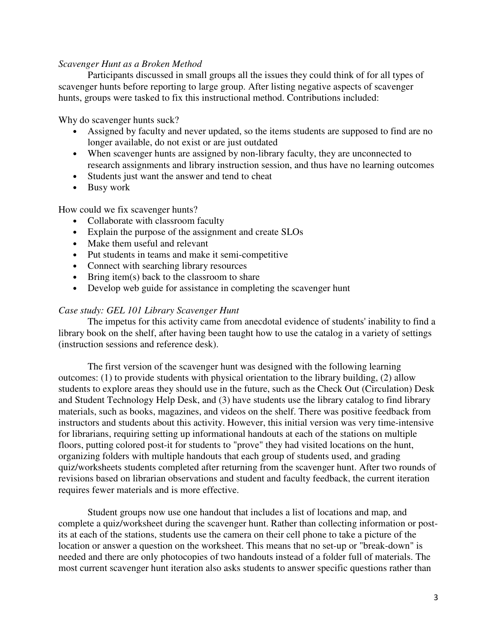## *Scavenger Hunt as a Broken Method*

Participants discussed in small groups all the issues they could think of for all types of scavenger hunts before reporting to large group. After listing negative aspects of scavenger hunts, groups were tasked to fix this instructional method. Contributions included:

Why do scavenger hunts suck?

- Assigned by faculty and never updated, so the items students are supposed to find are no longer available, do not exist or are just outdated
- When scavenger hunts are assigned by non-library faculty, they are unconnected to research assignments and library instruction session, and thus have no learning outcomes
- Students just want the answer and tend to cheat
- Busy work

How could we fix scavenger hunts?

- Collaborate with classroom faculty
- Explain the purpose of the assignment and create SLOs
- Make them useful and relevant
- Put students in teams and make it semi-competitive
- Connect with searching library resources
- Bring item(s) back to the classroom to share
- Develop web guide for assistance in completing the scavenger hunt

### *Case study: GEL 101 Library Scavenger Hunt*

The impetus for this activity came from anecdotal evidence of students' inability to find a library book on the shelf, after having been taught how to use the catalog in a variety of settings (instruction sessions and reference desk).

The first version of the scavenger hunt was designed with the following learning outcomes: (1) to provide students with physical orientation to the library building, (2) allow students to explore areas they should use in the future, such as the Check Out (Circulation) Desk and Student Technology Help Desk, and (3) have students use the library catalog to find library materials, such as books, magazines, and videos on the shelf. There was positive feedback from instructors and students about this activity. However, this initial version was very time-intensive for librarians, requiring setting up informational handouts at each of the stations on multiple floors, putting colored post-it for students to "prove" they had visited locations on the hunt, organizing folders with multiple handouts that each group of students used, and grading quiz/worksheets students completed after returning from the scavenger hunt. After two rounds of revisions based on librarian observations and student and faculty feedback, the current iteration requires fewer materials and is more effective.

Student groups now use one handout that includes a list of locations and map, and complete a quiz/worksheet during the scavenger hunt. Rather than collecting information or postits at each of the stations, students use the camera on their cell phone to take a picture of the location or answer a question on the worksheet. This means that no set-up or "break-down" is needed and there are only photocopies of two handouts instead of a folder full of materials. The most current scavenger hunt iteration also asks students to answer specific questions rather than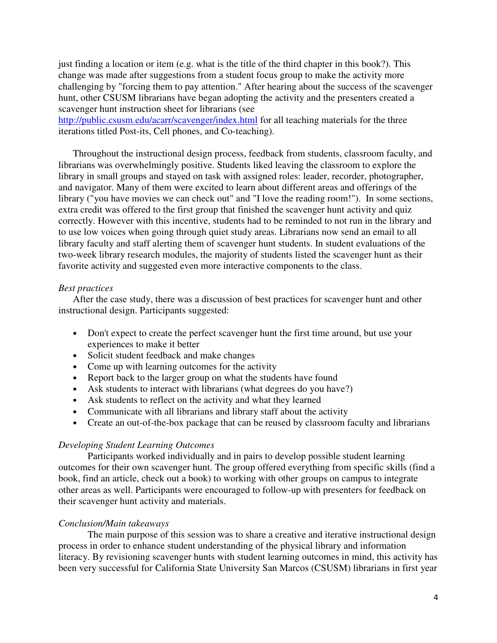just finding a location or item (e.g. what is the title of the third chapter in this book?). This change was made after suggestions from a student focus group to make the activity more challenging by "forcing them to pay attention." After hearing about the success of the scavenger hunt, other CSUSM librarians have began adopting the activity and the presenters created a scavenger hunt instruction sheet for librarians (see

http://public.csusm.edu/acarr/scavenger/index.html for all teaching materials for the three iterations titled Post-its, Cell phones, and Co-teaching).

Throughout the instructional design process, feedback from students, classroom faculty, and librarians was overwhelmingly positive. Students liked leaving the classroom to explore the library in small groups and stayed on task with assigned roles: leader, recorder, photographer, and navigator. Many of them were excited to learn about different areas and offerings of the library ("you have movies we can check out" and "I love the reading room!"). In some sections, extra credit was offered to the first group that finished the scavenger hunt activity and quiz correctly. However with this incentive, students had to be reminded to not run in the library and to use low voices when going through quiet study areas. Librarians now send an email to all library faculty and staff alerting them of scavenger hunt students. In student evaluations of the two-week library research modules, the majority of students listed the scavenger hunt as their favorite activity and suggested even more interactive components to the class.

### *Best practices*

After the case study, there was a discussion of best practices for scavenger hunt and other instructional design. Participants suggested:

- Don't expect to create the perfect scavenger hunt the first time around, but use your experiences to make it better
- Solicit student feedback and make changes
- Come up with learning outcomes for the activity
- Report back to the larger group on what the students have found
- Ask students to interact with librarians (what degrees do you have?)
- Ask students to reflect on the activity and what they learned
- Communicate with all librarians and library staff about the activity
- Create an out-of-the-box package that can be reused by classroom faculty and librarians

### *Developing Student Learning Outcomes*

Participants worked individually and in pairs to develop possible student learning outcomes for their own scavenger hunt. The group offered everything from specific skills (find a book, find an article, check out a book) to working with other groups on campus to integrate other areas as well. Participants were encouraged to follow-up with presenters for feedback on their scavenger hunt activity and materials.

### *Conclusion/Main takeaways*

The main purpose of this session was to share a creative and iterative instructional design process in order to enhance student understanding of the physical library and information literacy. By revisioning scavenger hunts with student learning outcomes in mind, this activity has been very successful for California State University San Marcos (CSUSM) librarians in first year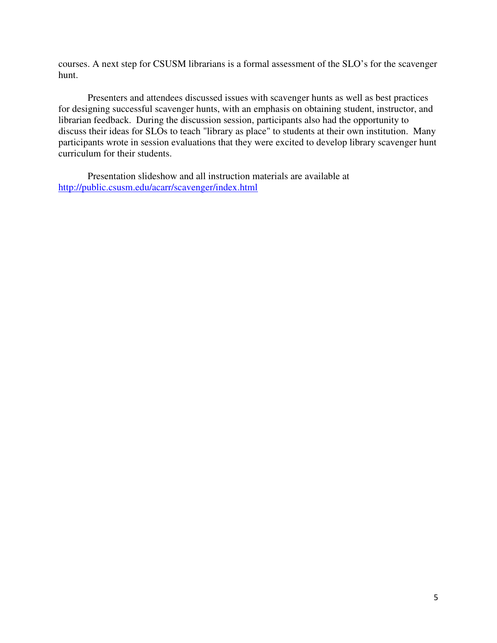courses. A next step for CSUSM librarians is a formal assessment of the SLO's for the scavenger hunt.

Presenters and attendees discussed issues with scavenger hunts as well as best practices for designing successful scavenger hunts, with an emphasis on obtaining student, instructor, and librarian feedback. During the discussion session, participants also had the opportunity to discuss their ideas for SLOs to teach "library as place" to students at their own institution. Many participants wrote in session evaluations that they were excited to develop library scavenger hunt curriculum for their students.

 Presentation slideshow and all instruction materials are available at http://public.csusm.edu/acarr/scavenger/index.html